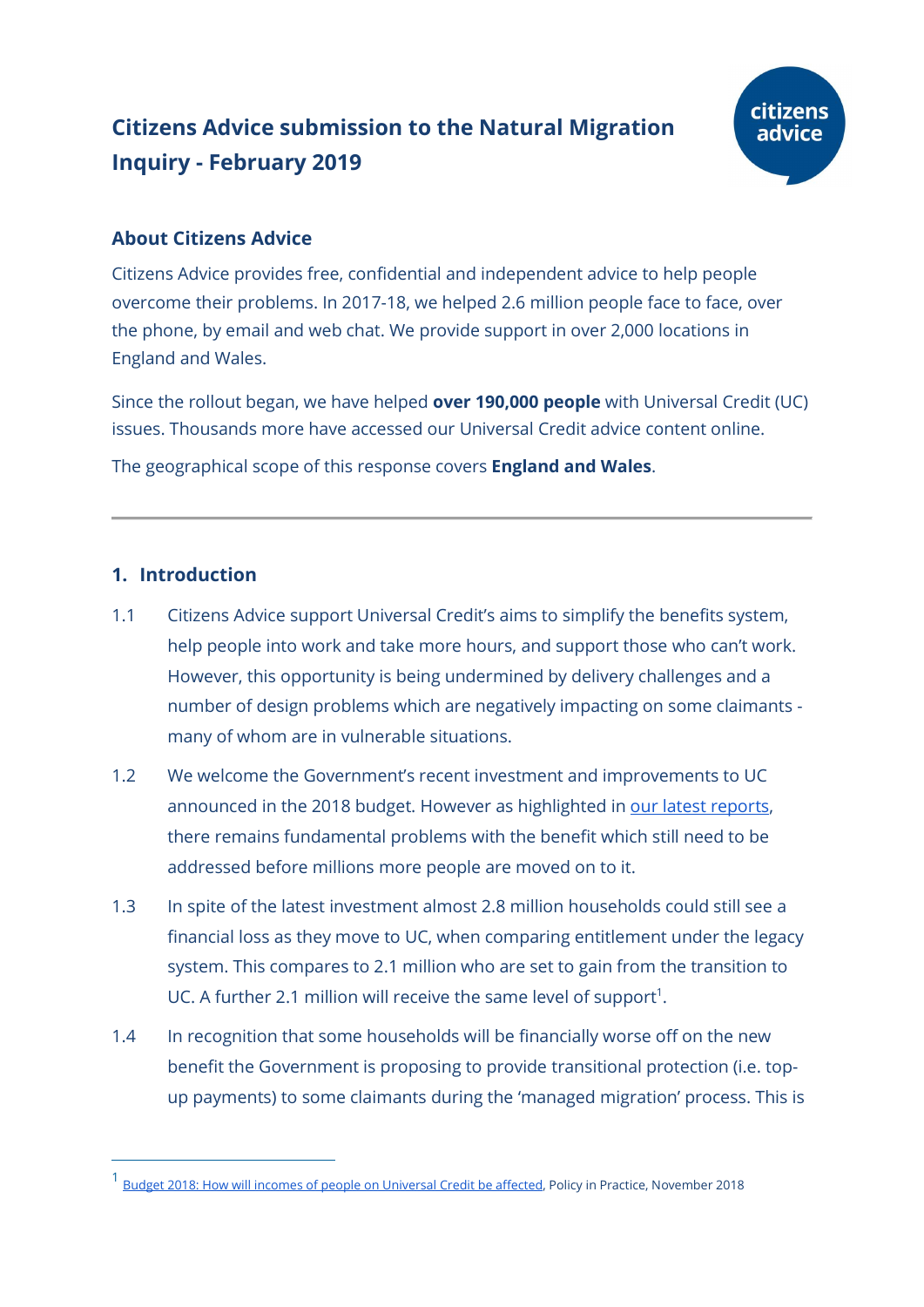# Citizens Advice submission to the Natural Migration Inquiry - February 2019



# About Citizens Advice

Citizens Advice provides free, confidential and independent advice to help people overcome their problems. In 2017-18, we helped 2.6 million people face to face, over the phone, by email and web chat. We provide support in over 2,000 locations in England and Wales.

Since the rollout began, we have helped **over 190,000 people** with Universal Credit (UC) issues. Thousands more have accessed our Universal Credit advice content online.

The geographical scope of this response covers **England and Wales**.

# 1. Introduction

- 1.1 Citizens Advice support Universal Credit's aims to simplify the benefits system, help people into work and take more hours, and support those who can't work. However, this opportunity is being undermined by delivery challenges and a number of design problems which are negatively impacting on some claimants many of whom are in vulnerable situations.
- 1.2 We welcome the Government's recent investment and improvements to UC announced in the 2018 budget. However as highlighted in our latest reports, there remains fundamental problems with the benefit which still need to be addressed before millions more people are moved on to it.
- 1.3 In spite of the latest investment almost 2.8 million households could still see a financial loss as they move to UC, when comparing entitlement under the legacy system. This compares to 2.1 million who are set to gain from the transition to UC. A further 2.1 million will receive the same level of support<sup>1</sup>.
- 1.4 In recognition that some households will be financially worse off on the new benefit the Government is proposing to provide transitional protection (i.e. topup payments) to some claimants during the 'managed migration' process. This is

<sup>&</sup>lt;sup>1</sup> Budget 2018: How will incomes of people on Un<u>iversal Credit be affected</u>, Policy in Practice, November 2018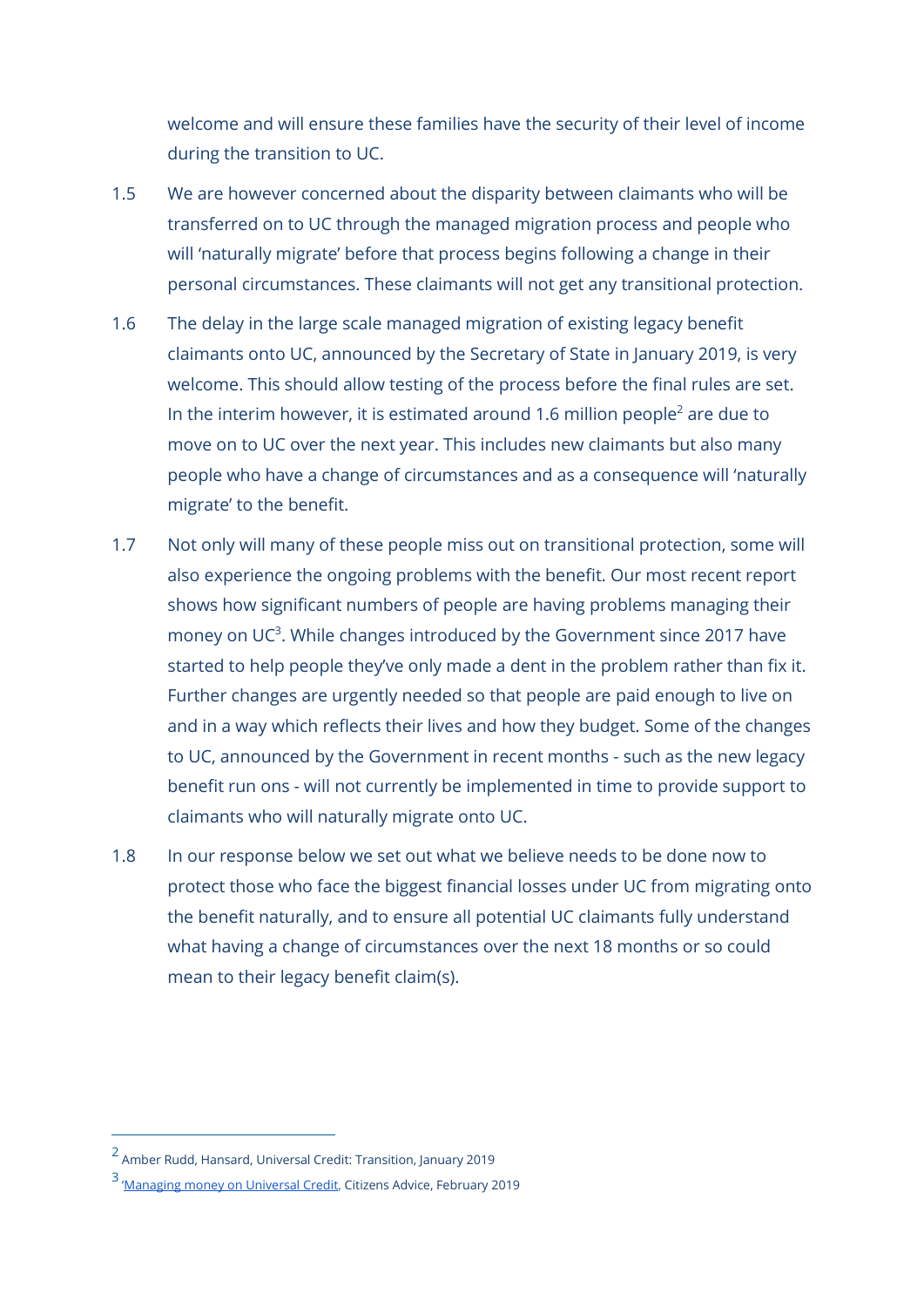welcome and will ensure these families have the security of their level of income during the transition to UC.

- 1.5 We are however concerned about the disparity between claimants who will be transferred on to UC through the managed migration process and people who will 'naturally migrate' before that process begins following a change in their personal circumstances. These claimants will not get any transitional protection.
- 1.6 The delay in the large scale managed migration of existing legacy benefit claimants onto UC, announced by the Secretary of State in January 2019, is very welcome. This should allow testing of the process before the final rules are set. In the interim however, it is estimated around 1.6 million people<sup>2</sup> are due to move on to UC over the next year. This includes new claimants but also many people who have a change of circumstances and as a consequence will 'naturally migrate' to the benefit.
- 1.7 Not only will many of these people miss out on transitional protection, some will also experience the ongoing problems with the benefit. Our most recent report shows how significant numbers of people are having problems managing their money on UC<sup>3</sup>. While changes introduced by the Government since 2017 have started to help people they've only made a dent in the problem rather than fix it. Further changes are urgently needed so that people are paid enough to live on and in a way which reflects their lives and how they budget. Some of the changes to UC, announced by the Government in recent months - such as the new legacy benefit run ons - will not currently be implemented in time to provide support to claimants who will naturally migrate onto UC.
- 1.8 In our response below we set out what we believe needs to be done now to protect those who face the biggest financial losses under UC from migrating onto the benefit naturally, and to ensure all potential UC claimants fully understand what having a change of circumstances over the next 18 months or so could mean to their legacy benefit claim(s).

<sup>2</sup> Amber Rudd, Hansard, Universal Credit: Transition, January 2019

<sup>&</sup>lt;sup>3</sup> 'Managing money on Universal Credit, Citizens Advice, February 2019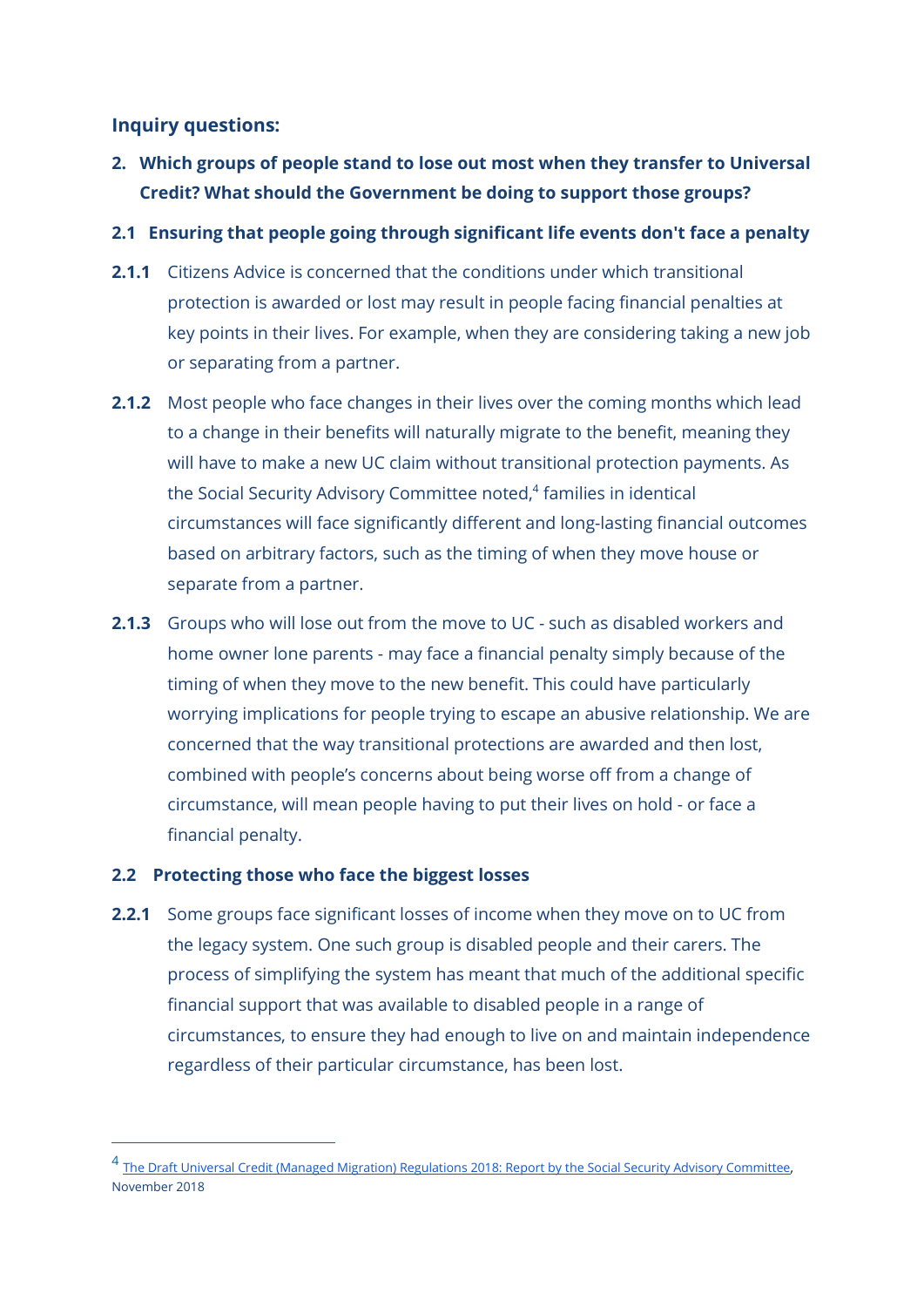# Inquiry questions:

2. Which groups of people stand to lose out most when they transfer to Universal Credit? What should the Government be doing to support those groups?

# 2.1 Ensuring that people going through significant life events don't face a penalty

- 2.1.1 Citizens Advice is concerned that the conditions under which transitional protection is awarded or lost may result in people facing financial penalties at key points in their lives. For example, when they are considering taking a new job or separating from a partner.
- 2.1.2 Most people who face changes in their lives over the coming months which lead to a change in their benefits will naturally migrate to the benefit, meaning they will have to make a new UC claim without transitional protection payments. As the Social Security Advisory Committee noted,<sup>4</sup> families in identical circumstances will face significantly different and long-lasting financial outcomes based on arbitrary factors, such as the timing of when they move house or separate from a partner.
- **2.1.3** Groups who will lose out from the move to UC such as disabled workers and home owner lone parents - may face a financial penalty simply because of the timing of when they move to the new benefit. This could have particularly worrying implications for people trying to escape an abusive relationship. We are concerned that the way transitional protections are awarded and then lost, combined with people's concerns about being worse off from a change of circumstance, will mean people having to put their lives on hold - or face a financial penalty.

# 2.2 Protecting those who face the biggest losses

-

**2.2.1** Some groups face significant losses of income when they move on to UC from the legacy system. One such group is disabled people and their carers. The process of simplifying the system has meant that much of the additional specific financial support that was available to disabled people in a range of circumstances, to ensure they had enough to live on and maintain independence regardless of their particular circumstance, has been lost.

<sup>&</sup>lt;sup>4</sup> The Draft Universal Credit (Managed Migration) Regulations 2018: Report by the Social Security Advisory Committee, November 2018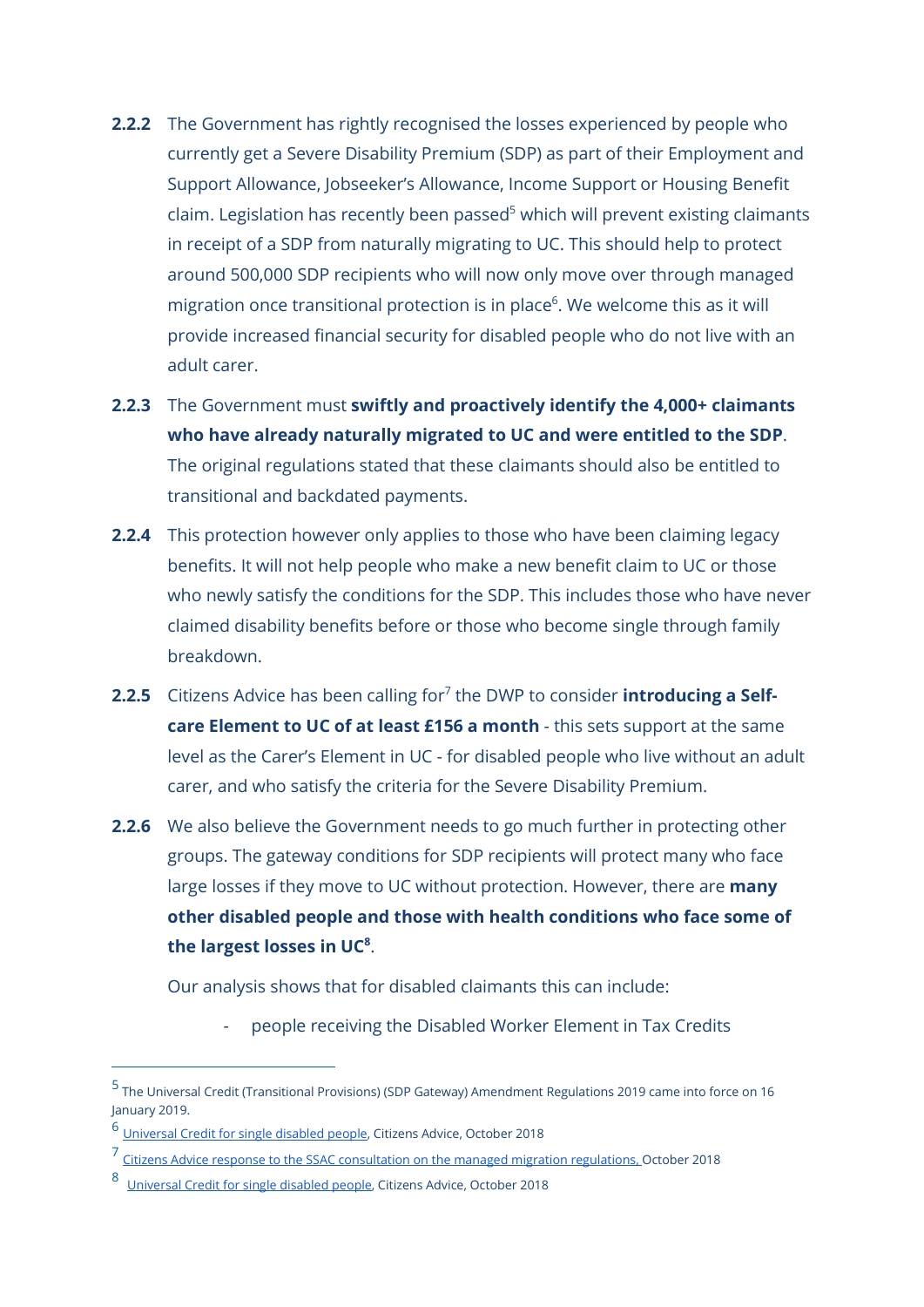- **2.2.2** The Government has rightly recognised the losses experienced by people who currently get a Severe Disability Premium (SDP) as part of their Employment and Support Allowance, Jobseeker's Allowance, Income Support or Housing Benefit claim. Legislation has recently been passed<sup>5</sup> which will prevent existing claimants in receipt of a SDP from naturally migrating to UC. This should help to protect around 500,000 SDP recipients who will now only move over through managed migration once transitional protection is in place<sup>6</sup>. We welcome this as it will provide increased financial security for disabled people who do not live with an adult carer.
- 2.2.3 The Government must swiftly and proactively identify the 4,000+ claimants who have already naturally migrated to UC and were entitled to the SDP. The original regulations stated that these claimants should also be entitled to transitional and backdated payments.
- 2.2.4 This protection however only applies to those who have been claiming legacy benefits. It will not help people who make a new benefit claim to UC or those who newly satisfy the conditions for the SDP. This includes those who have never claimed disability benefits before or those who become single through family breakdown.
- 2.2.5 Citizens Advice has been calling for<sup>7</sup> the DWP to consider **introducing a Self**care Element to UC of at least £156 a month - this sets support at the same level as the Carer's Element in UC - for disabled people who live without an adult carer, and who satisfy the criteria for the Severe Disability Premium.
- **2.2.6** We also believe the Government needs to go much further in protecting other groups. The gateway conditions for SDP recipients will protect many who face large losses if they move to UC without protection. However, there are **many** other disabled people and those with health conditions who face some of the largest losses in UC $8$ .

Our analysis shows that for disabled claimants this can include:

people receiving the Disabled Worker Element in Tax Credits

<sup>5</sup> The Universal Credit (Transitional Provisions) (SDP Gateway) Amendment Regulations 2019 came into force on 16 January 2019.

<sup>6</sup> Universal Credit for single disabled people, Citizens Advice, October 2018

<sup>7</sup> Citizens Advice response to the SSAC consultation on the managed migration regulations, October 2018

<sup>8</sup> Universal Credit for single disabled people, Citizens Advice, October 2018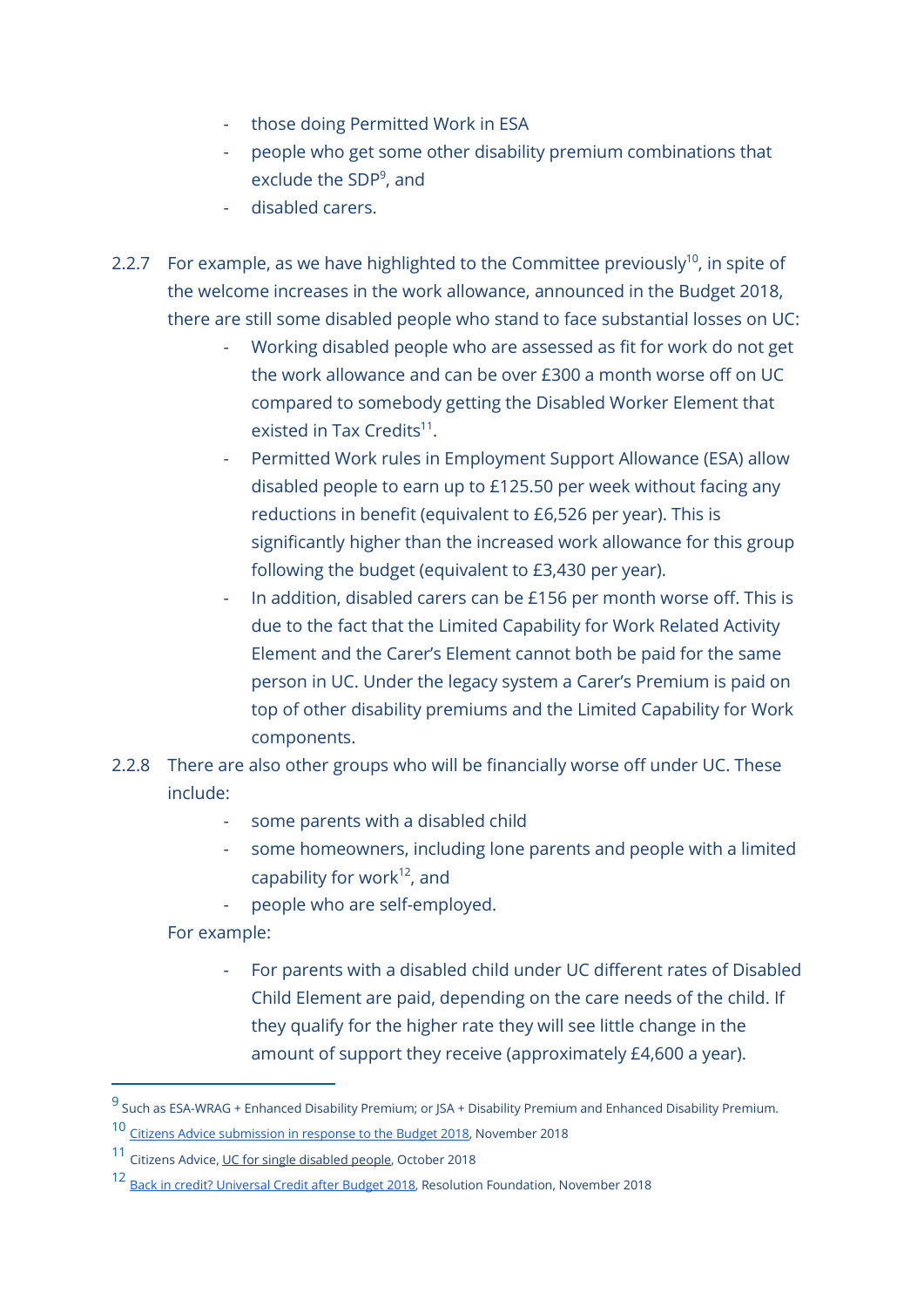- those doing Permitted Work in ESA
- people who get some other disability premium combinations that exclude the SDP<sup>9</sup> , and
- disabled carers.
- 2.2.7 For example, as we have highlighted to the Committee previously<sup>10</sup>, in spite of the welcome increases in the work allowance, announced in the Budget 2018, there are still some disabled people who stand to face substantial losses on UC:
	- Working disabled people who are assessed as fit for work do not get the work allowance and can be over £300 a month worse off on UC compared to somebody getting the Disabled Worker Element that existed in Tax Credits<sup>11</sup>.
	- Permitted Work rules in Employment Support Allowance (ESA) allow disabled people to earn up to £125.50 per week without facing any reductions in benefit (equivalent to £6,526 per year). This is significantly higher than the increased work allowance for this group following the budget (equivalent to £3,430 per year).
	- In addition, disabled carers can be £156 per month worse off. This is due to the fact that the Limited Capability for Work Related Activity Element and the Carer's Element cannot both be paid for the same person in UC. Under the legacy system a Carer's Premium is paid on top of other disability premiums and the Limited Capability for Work components.
- 2.2.8 There are also other groups who will be financially worse off under UC. These include:
	- some parents with a disabled child
	- some homeowners, including lone parents and people with a limited capability for work $12$ , and
	- people who are self-employed.

For example:

 $\overline{a}$ 

- For parents with a disabled child under UC different rates of Disabled Child Element are paid, depending on the care needs of the child. If they qualify for the higher rate they will see little change in the amount of support they receive (approximately £4,600 a year).

<sup>&</sup>lt;sup>9</sup> Such as ESA-WRAG + Enhanced Disability Premium; or JSA + Disability Premium and Enhanced Disability Premium.

<sup>10</sup> Citizens Advice submission in response to the Budget 2018, November 2018

<sup>11</sup> Citizens Advice, UC for single disabled people, October 2018

<sup>12</sup> Back in credit? Universal Credit after Budget 2018, Resolution Foundation, November 2018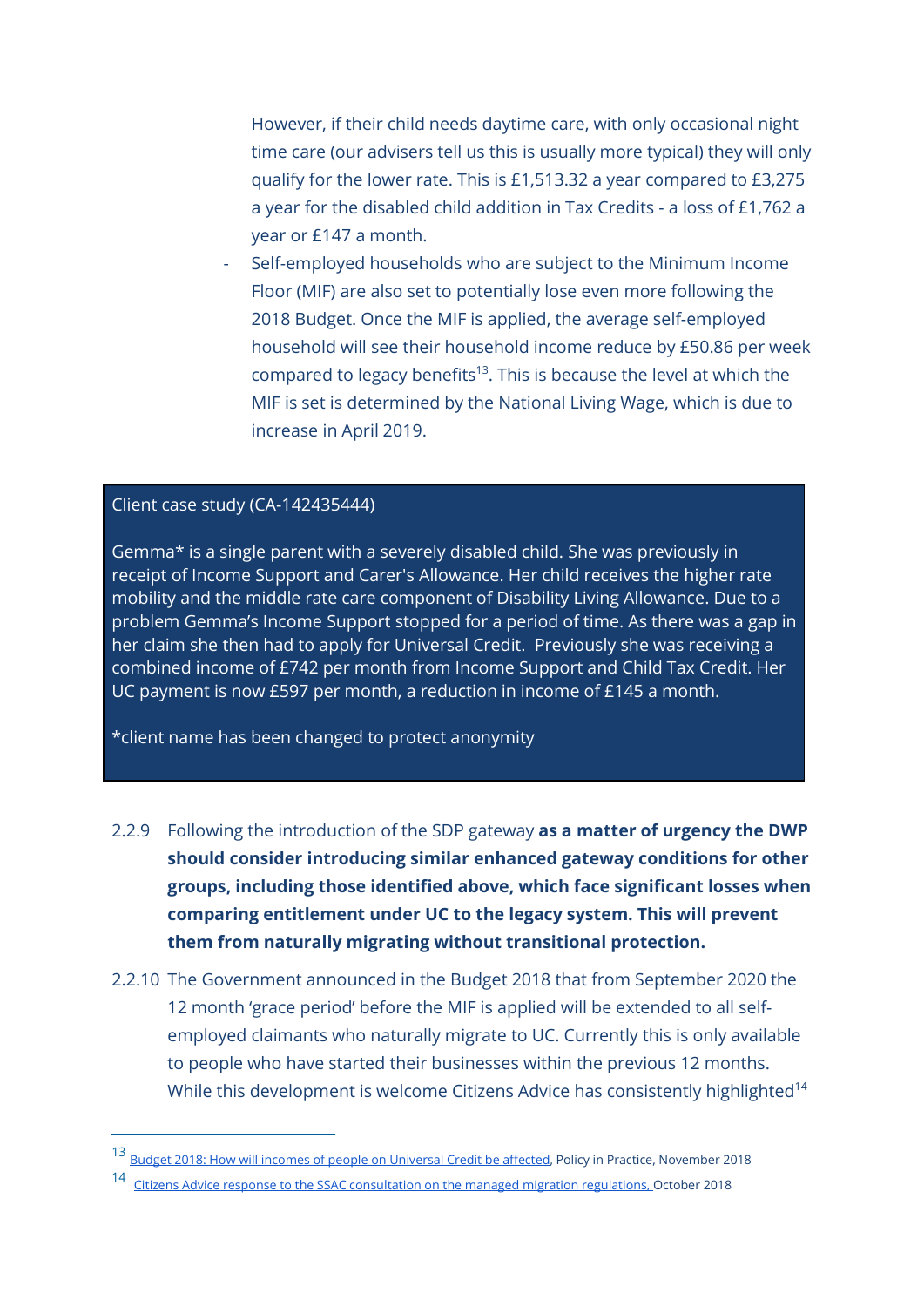However, if their child needs daytime care, with only occasional night time care (our advisers tell us this is usually more typical) they will only qualify for the lower rate. This is £1,513.32 a year compared to £3,275 a year for the disabled child addition in Tax Credits - a loss of £1,762 a year or £147 a month.

- Self-employed households who are subject to the Minimum Income Floor (MIF) are also set to potentially lose even more following the 2018 Budget. Once the MIF is applied, the average self-employed household will see their household income reduce by £50.86 per week compared to legacy benefits<sup>13</sup>. This is because the level at which the MIF is set is determined by the National Living Wage, which is due to increase in April 2019.

#### Client case study (CA-142435444)

 $\overline{a}$ 

Gemma\* is a single parent with a severely disabled child. She was previously in receipt of Income Support and Carer's Allowance. Her child receives the higher rate mobility and the middle rate care component of Disability Living Allowance. Due to a problem Gemma's Income Support stopped for a period of time. As there was a gap in her claim she then had to apply for Universal Credit. Previously she was receiving a combined income of £742 per month from Income Support and Child Tax Credit. Her UC payment is now £597 per month, a reduction in income of £145 a month.

\*client name has been changed to protect anonymity

- 2.2.9 Following the introduction of the SDP gateway as a matter of urgency the DWP should consider introducing similar enhanced gateway conditions for other groups, including those identified above, which face significant losses when comparing entitlement under UC to the legacy system. This will prevent them from naturally migrating without transitional protection.
- 2.2.10 The Government announced in the Budget 2018 that from September 2020 the 12 month 'grace period' before the MIF is applied will be extended to all selfemployed claimants who naturally migrate to UC. Currently this is only available to people who have started their businesses within the previous 12 months. While this development is welcome Citizens Advice has consistently highlighted<sup>14</sup>

<sup>13</sup> Budget 2018: How will incomes of people on Universal Credit be affected, Policy in Practice, November 2018

<sup>&</sup>lt;sup>14</sup> Citizens Advice response to the SSAC consultation on the managed migration regulations, October 2018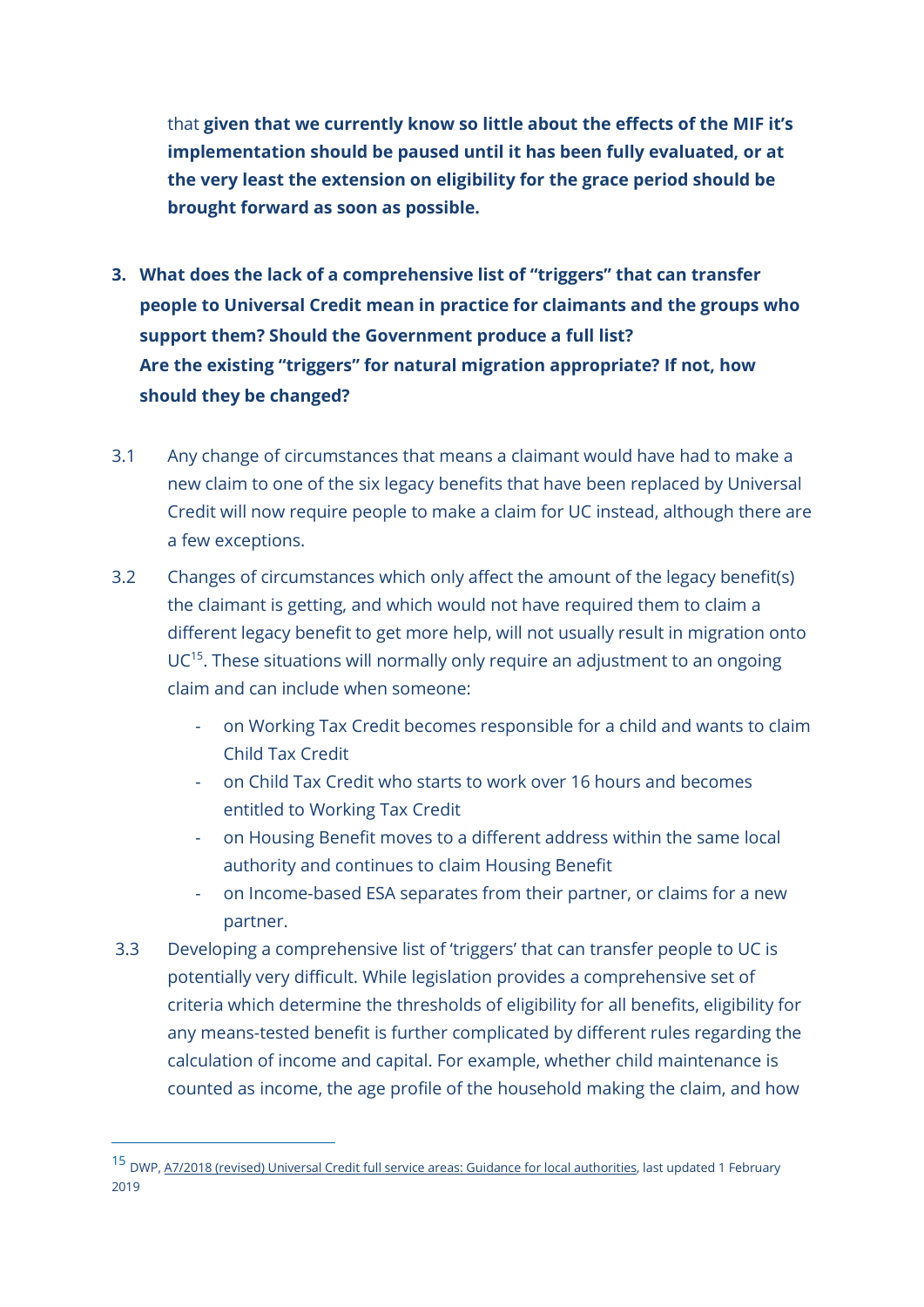that given that we currently know so little about the effects of the MIF it's implementation should be paused until it has been fully evaluated, or at the very least the extension on eligibility for the grace period should be brought forward as soon as possible.

- 3. What does the lack of a comprehensive list of "triggers" that can transfer people to Universal Credit mean in practice for claimants and the groups who support them? Should the Government produce a full list? Are the existing "triggers" for natural migration appropriate? If not, how should they be changed?
- 3.1 Any change of circumstances that means a claimant would have had to make a new claim to one of the six legacy benefits that have been replaced by Universal Credit will now require people to make a claim for UC instead, although there are a few exceptions.
- 3.2 Changes of circumstances which only affect the amount of the legacy benefit(s) the claimant is getting, and which would not have required them to claim a different legacy benefit to get more help, will not usually result in migration onto  $UC<sup>15</sup>$ . These situations will normally only require an adjustment to an ongoing claim and can include when someone:
	- on Working Tax Credit becomes responsible for a child and wants to claim Child Tax Credit
	- on Child Tax Credit who starts to work over 16 hours and becomes entitled to Working Tax Credit
	- on Housing Benefit moves to a different address within the same local authority and continues to claim Housing Benefit
	- on Income-based ESA separates from their partner, or claims for a new partner.
- 3.3 Developing a comprehensive list of 'triggers' that can transfer people to UC is potentially very difficult. While legislation provides a comprehensive set of criteria which determine the thresholds of eligibility for all benefits, eligibility for any means-tested benefit is further complicated by different rules regarding the calculation of income and capital. For example, whether child maintenance is counted as income, the age profile of the household making the claim, and how

-

<sup>15</sup> DWP, A7/2018 (revised) Universal Credit full service areas: Guidance for local authorities, last updated 1 February  $2019$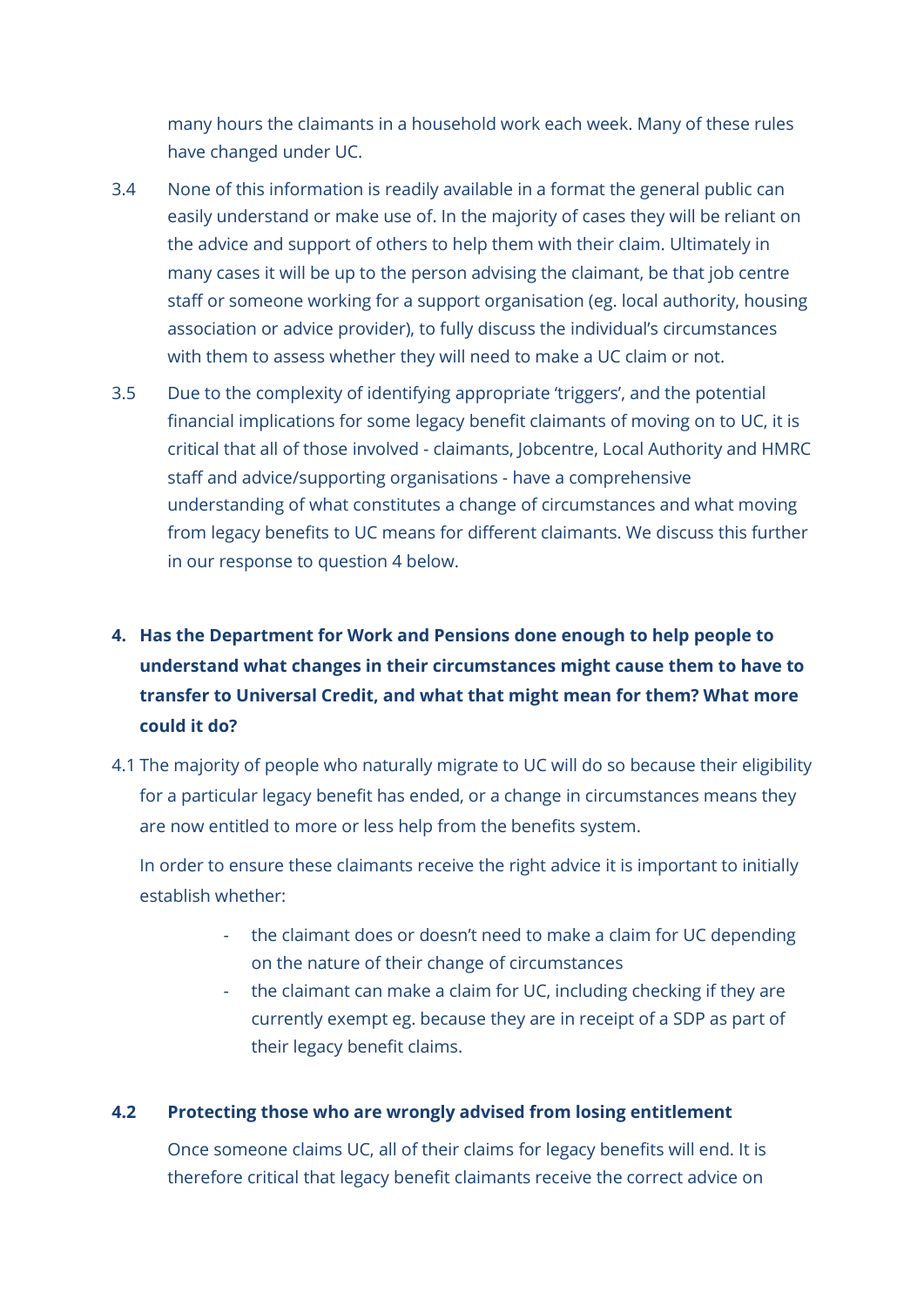many hours the claimants in a household work each week. Many of these rules have changed under UC.

- 3.4 None of this information is readily available in a format the general public can easily understand or make use of. In the majority of cases they will be reliant on the advice and support of others to help them with their claim. Ultimately in many cases it will be up to the person advising the claimant, be that job centre staff or someone working for a support organisation (eg. local authority, housing association or advice provider), to fully discuss the individual's circumstances with them to assess whether they will need to make a UC claim or not.
- 3.5 Due to the complexity of identifying appropriate 'triggers', and the potential financial implications for some legacy benefit claimants of moving on to UC, it is critical that all of those involved - claimants, Jobcentre, Local Authority and HMRC staff and advice/supporting organisations - have a comprehensive understanding of what constitutes a change of circumstances and what moving from legacy benefits to UC means for different claimants. We discuss this further in our response to question 4 below.

# 4. Has the Department for Work and Pensions done enough to help people to understand what changes in their circumstances might cause them to have to transfer to Universal Credit, and what that might mean for them? What more could it do?

4.1 The majority of people who naturally migrate to UC will do so because their eligibility for a particular legacy benefit has ended, or a change in circumstances means they are now entitled to more or less help from the benefits system.

In order to ensure these claimants receive the right advice it is important to initially establish whether:

- the claimant does or doesn't need to make a claim for UC depending on the nature of their change of circumstances
- the claimant can make a claim for UC, including checking if they are currently exempt eg. because they are in receipt of a SDP as part of their legacy benefit claims.

# 4.2 Protecting those who are wrongly advised from losing entitlement

Once someone claims UC, all of their claims for legacy benefits will end. It is therefore critical that legacy benefit claimants receive the correct advice on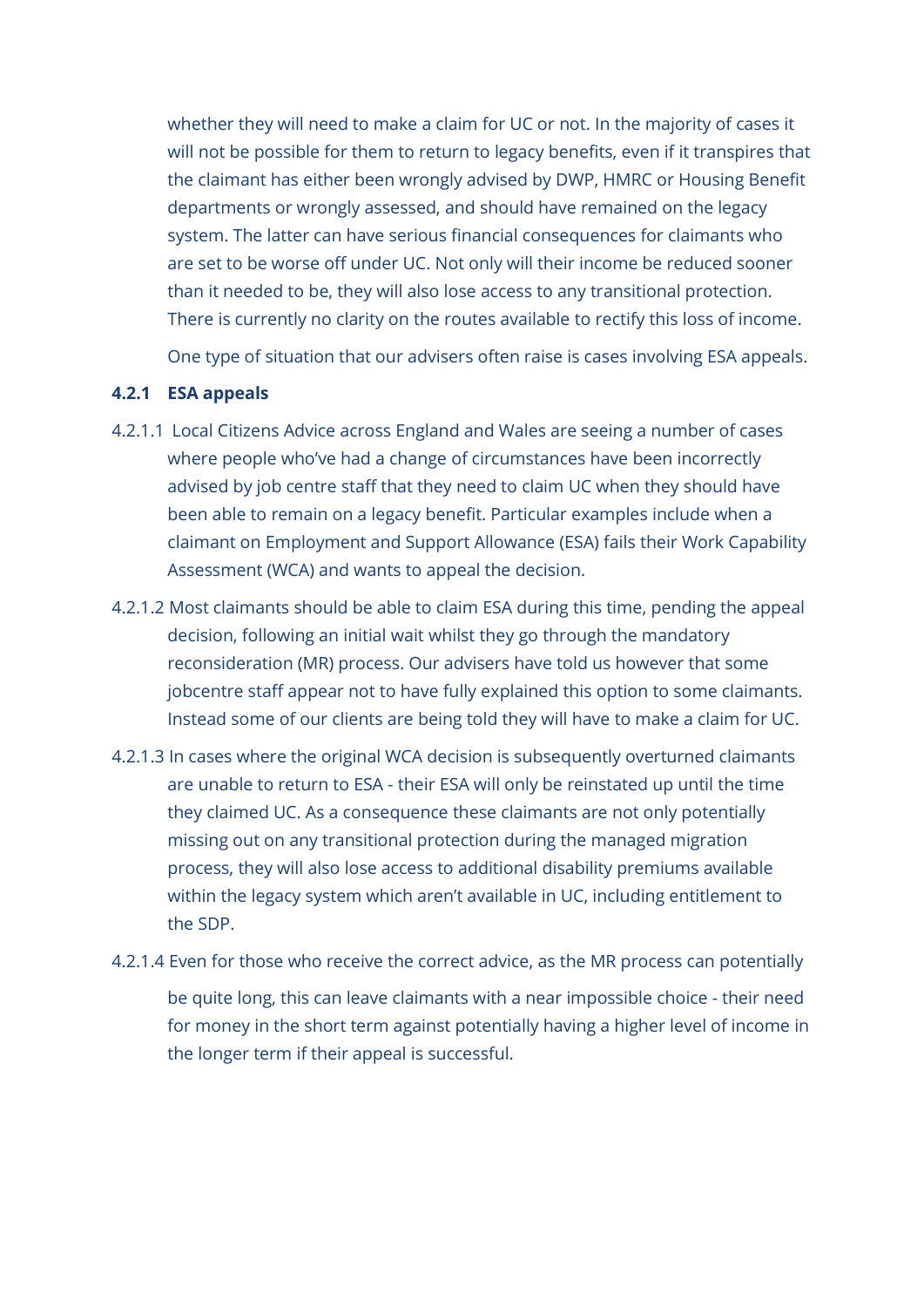whether they will need to make a claim for UC or not. In the majority of cases it will not be possible for them to return to legacy benefits, even if it transpires that the claimant has either been wrongly advised by DWP, HMRC or Housing Benefit departments or wrongly assessed, and should have remained on the legacy system. The latter can have serious financial consequences for claimants who are set to be worse off under UC. Not only will their income be reduced sooner than it needed to be, they will also lose access to any transitional protection. There is currently no clarity on the routes available to rectify this loss of income.

One type of situation that our advisers often raise is cases involving ESA appeals.

#### 4.2.1 ESA appeals

- 4.2.1.1 Local Citizens Advice across England and Wales are seeing a number of cases where people who've had a change of circumstances have been incorrectly advised by job centre staff that they need to claim UC when they should have been able to remain on a legacy benefit. Particular examples include when a claimant on Employment and Support Allowance (ESA) fails their Work Capability Assessment (WCA) and wants to appeal the decision.
- 4.2.1.2 Most claimants should be able to claim ESA during this time, pending the appeal decision, following an initial wait whilst they go through the mandatory reconsideration (MR) process. Our advisers have told us however that some jobcentre staff appear not to have fully explained this option to some claimants. Instead some of our clients are being told they will have to make a claim for UC.
- 4.2.1.3 In cases where the original WCA decision is subsequently overturned claimants are unable to return to ESA - their ESA will only be reinstated up until the time they claimed UC. As a consequence these claimants are not only potentially missing out on any transitional protection during the managed migration process, they will also lose access to additional disability premiums available within the legacy system which aren't available in UC, including entitlement to the SDP.
- 4.2.1.4 Even for those who receive the correct advice, as the MR process can potentially

be quite long, this can leave claimants with a near impossible choice - their need for money in the short term against potentially having a higher level of income in the longer term if their appeal is successful.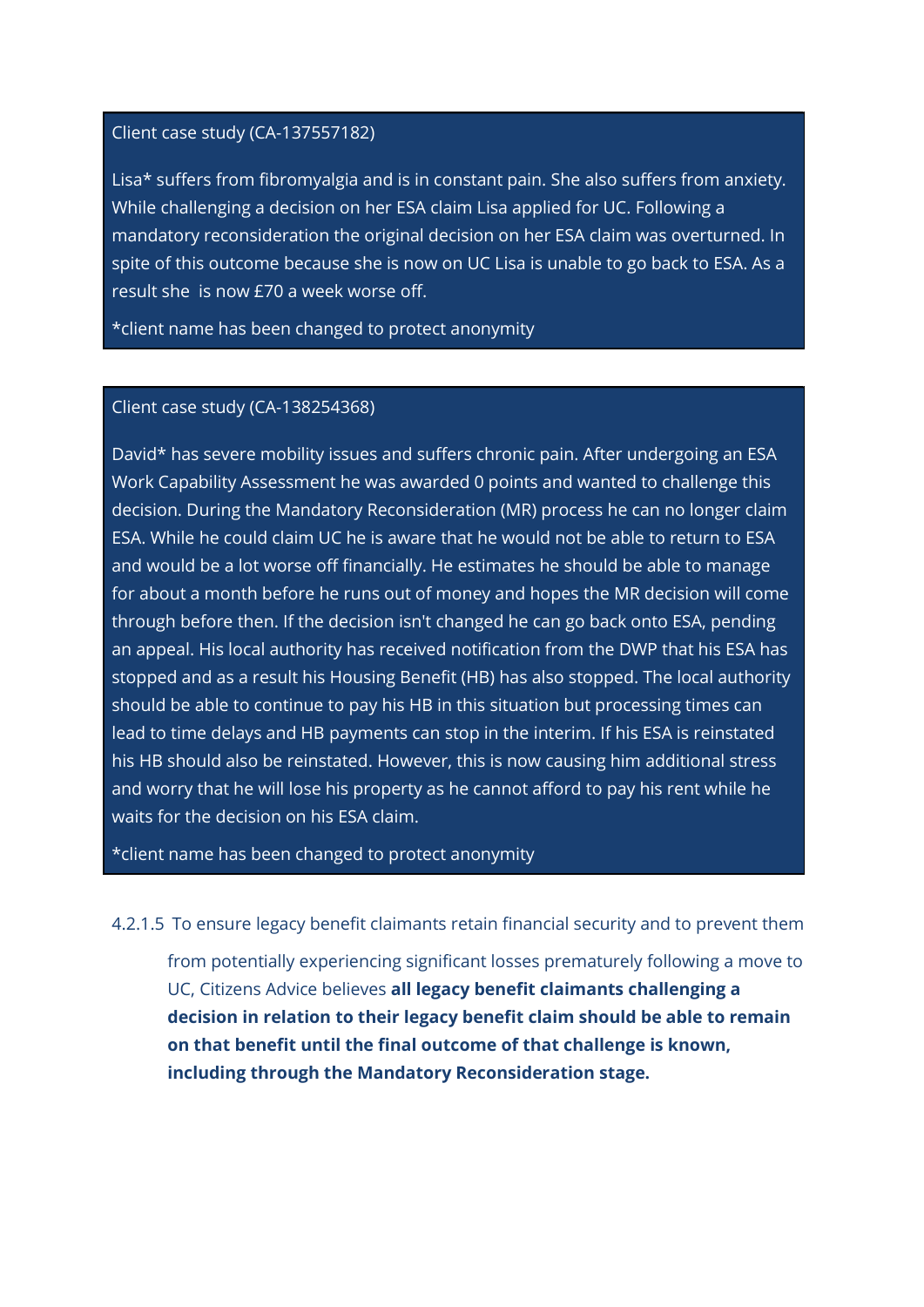## Client case study (CA-137557182)

Lisa\* suffers from fibromyalgia and is in constant pain. She also suffers from anxiety. While challenging a decision on her ESA claim Lisa applied for UC. Following a mandatory reconsideration the original decision on her ESA claim was overturned. In spite of this outcome because she is now on UC Lisa is unable to go back to ESA. As a result she is now £70 a week worse off.

\*client name has been changed to protect anonymity

## Client case study (CA-138254368)

David\* has severe mobility issues and suffers chronic pain. After undergoing an ESA Work Capability Assessment he was awarded 0 points and wanted to challenge this decision. During the Mandatory Reconsideration (MR) process he can no longer claim ESA. While he could claim UC he is aware that he would not be able to return to ESA and would be a lot worse off financially. He estimates he should be able to manage for about a month before he runs out of money and hopes the MR decision will come through before then. If the decision isn't changed he can go back onto ESA, pending an appeal. His local authority has received notification from the DWP that his ESA has stopped and as a result his Housing Benefit (HB) has also stopped. The local authority should be able to continue to pay his HB in this situation but processing times can lead to time delays and HB payments can stop in the interim. If his ESA is reinstated his HB should also be reinstated. However, this is now causing him additional stress and worry that he will lose his property as he cannot afford to pay his rent while he waits for the decision on his ESA claim.

\*client name has been changed to protect anonymity

4.2.1.5 To ensure legacy benefit claimants retain financial security and to prevent them

from potentially experiencing significant losses prematurely following a move to UC, Citizens Advice believes all legacy benefit claimants challenging a decision in relation to their legacy benefit claim should be able to remain on that benefit until the final outcome of that challenge is known, including through the Mandatory Reconsideration stage.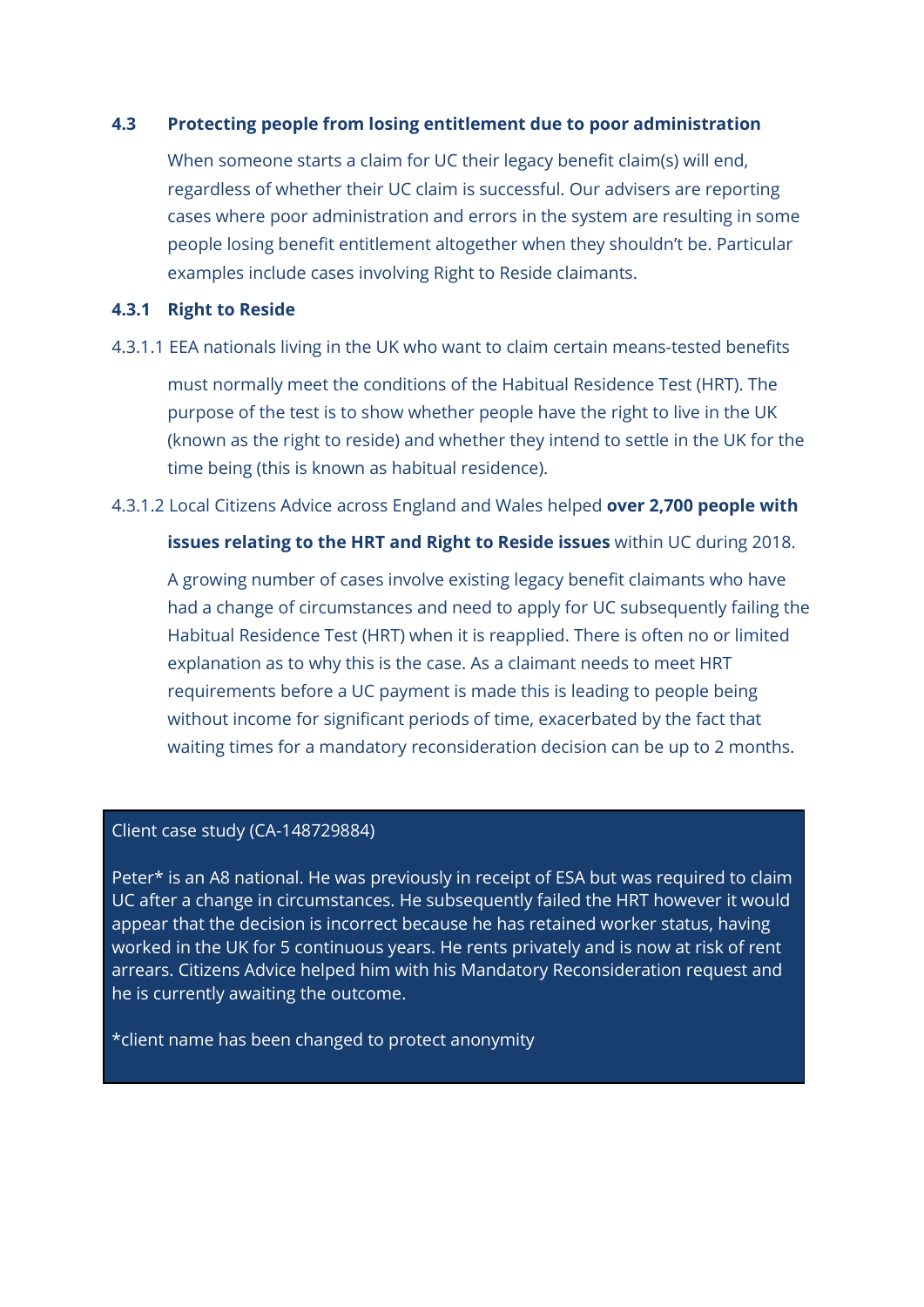#### 4.3 Protecting people from losing entitlement due to poor administration

When someone starts a claim for UC their legacy benefit claim(s) will end, regardless of whether their UC claim is successful. Our advisers are reporting cases where poor administration and errors in the system are resulting in some people losing benefit entitlement altogether when they shouldn't be. Particular examples include cases involving Right to Reside claimants.

#### 4.3.1 Right to Reside

4.3.1.1 EEA nationals living in the UK who want to claim certain means-tested benefits

must normally meet the conditions of the Habitual Residence Test (HRT). The purpose of the test is to show whether people have the right to live in the UK (known as the right to reside) and whether they intend to settle in the UK for the time being (this is known as habitual residence).

#### 4.3.1.2 Local Citizens Advice across England and Wales helped over 2,700 people with

#### issues relating to the HRT and Right to Reside issues within UC during 2018.

A growing number of cases involve existing legacy benefit claimants who have had a change of circumstances and need to apply for UC subsequently failing the Habitual Residence Test (HRT) when it is reapplied. There is often no or limited explanation as to why this is the case. As a claimant needs to meet HRT requirements before a UC payment is made this is leading to people being without income for significant periods of time, exacerbated by the fact that waiting times for a mandatory reconsideration decision can be up to 2 months.

#### Client case study (CA-148729884)

Peter\* is an A8 national. He was previously in receipt of ESA but was required to claim UC after a change in circumstances. He subsequently failed the HRT however it would appear that the decision is incorrect because he has retained worker status, having worked in the UK for 5 continuous years. He rents privately and is now at risk of rent arrears. Citizens Advice helped him with his Mandatory Reconsideration request and he is currently awaiting the outcome.

\*client name has been changed to protect anonymity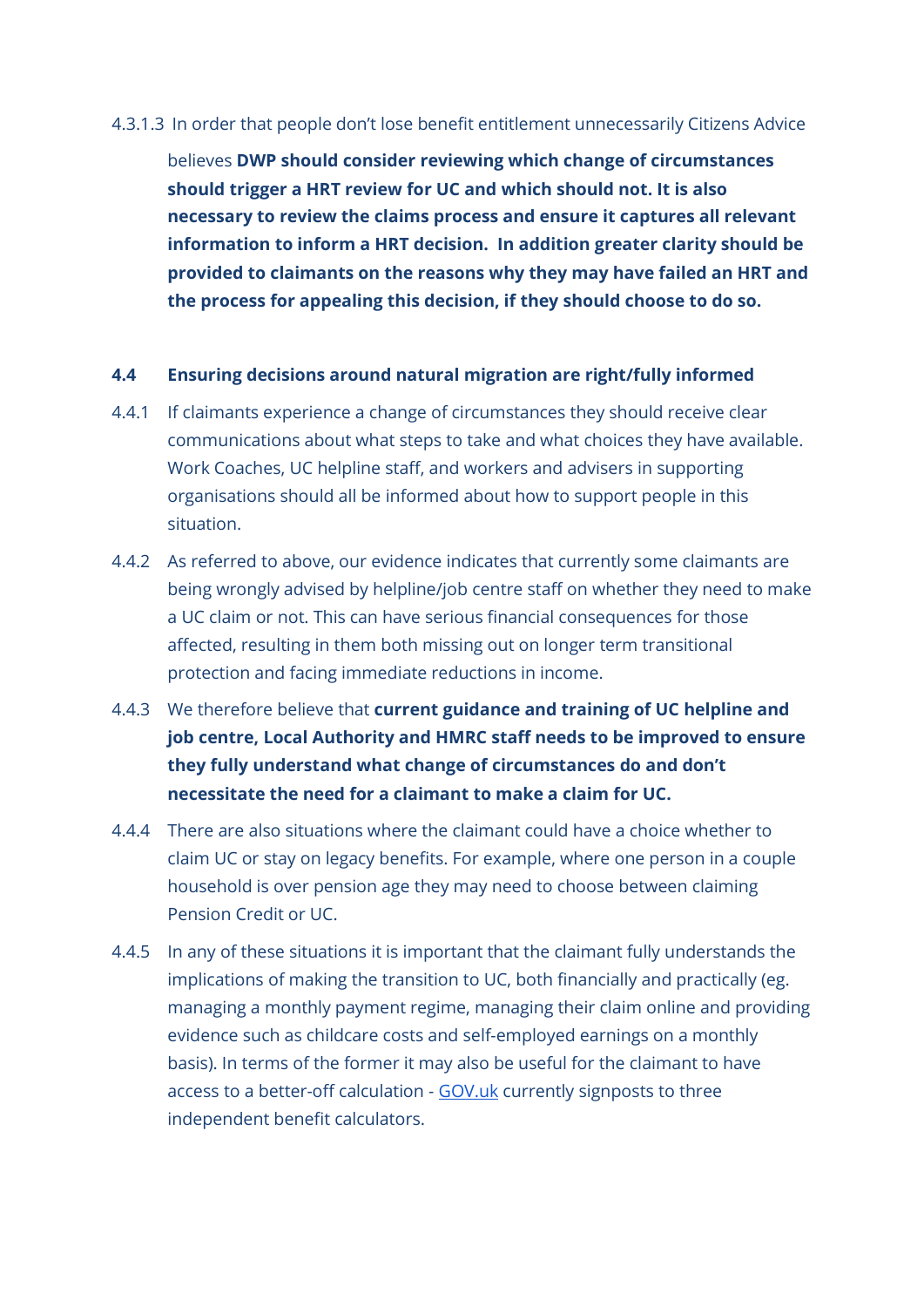#### 4.3.1.3 In order that people don't lose benefit entitlement unnecessarily Citizens Advice

believes DWP should consider reviewing which change of circumstances should trigger a HRT review for UC and which should not. It is also necessary to review the claims process and ensure it captures all relevant information to inform a HRT decision. In addition greater clarity should be provided to claimants on the reasons why they may have failed an HRT and the process for appealing this decision, if they should choose to do so.

#### 4.4 Ensuring decisions around natural migration are right/fully informed

- 4.4.1 If claimants experience a change of circumstances they should receive clear communications about what steps to take and what choices they have available. Work Coaches, UC helpline staff, and workers and advisers in supporting organisations should all be informed about how to support people in this situation.
- 4.4.2 As referred to above, our evidence indicates that currently some claimants are being wrongly advised by helpline/job centre staff on whether they need to make a UC claim or not. This can have serious financial consequences for those affected, resulting in them both missing out on longer term transitional protection and facing immediate reductions in income.
- 4.4.3 We therefore believe that current guidance and training of UC helpline and job centre, Local Authority and HMRC staff needs to be improved to ensure they fully understand what change of circumstances do and don't necessitate the need for a claimant to make a claim for UC.
- 4.4.4 There are also situations where the claimant could have a choice whether to claim UC or stay on legacy benefits. For example, where one person in a couple household is over pension age they may need to choose between claiming Pension Credit or UC.
- 4.4.5 In any of these situations it is important that the claimant fully understands the implications of making the transition to UC, both financially and practically (eg. managing a monthly payment regime, managing their claim online and providing evidence such as childcare costs and self-employed earnings on a monthly basis). In terms of the former it may also be useful for the claimant to have access to a better-off calculation - GOV.uk currently signposts to three independent benefit calculators.